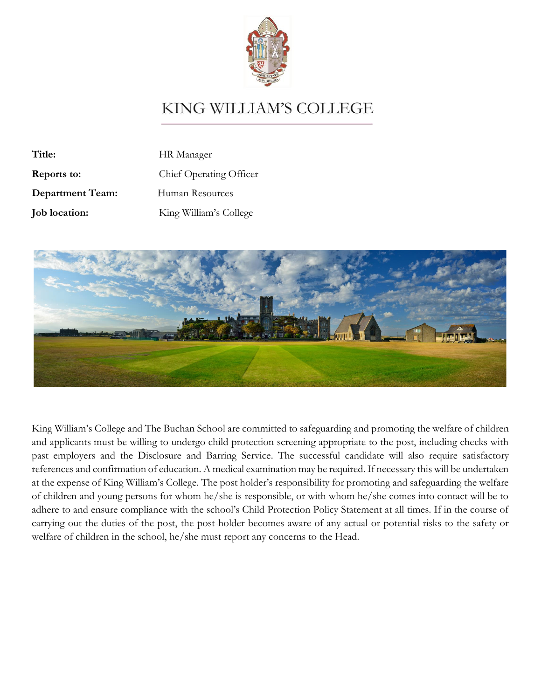

# **KING WILLIAM'S COLLEGE**

| Title:                  | HR Manager              |
|-------------------------|-------------------------|
| Reports to:             | Chief Operating Officer |
| <b>Department Team:</b> | Human Resources         |
| <b>Job</b> location:    | King William's College  |



King William's College and The Buchan School are committed to safeguarding and promoting the welfare of children and applicants must be willing to undergo child protection screening appropriate to the post, including checks with past employers and the Disclosure and Barring Service. The successful candidate will also require satisfactory references and confirmation of education. A medical examination may be required. If necessary this will be undertaken at the expense of King William's College. The post holder's responsibility for promoting and safeguarding the welfare of children and young persons for whom he/she is responsible, or with whom he/she comes into contact will be to adhere to and ensure compliance with the school's Child Protection Policy Statement at all times. If in the course of carrying out the duties of the post, the post-holder becomes aware of any actual or potential risks to the safety or welfare of children in the school, he/she must report any concerns to the Head.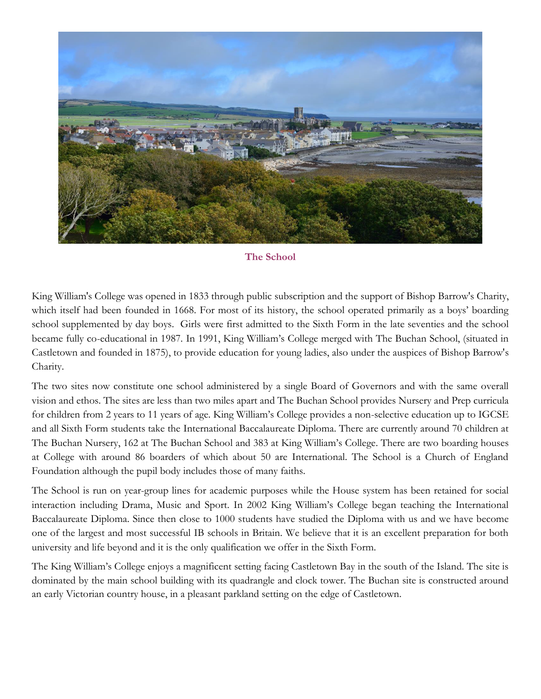

**The School**

King William's College was opened in 1833 through public subscription and the support of Bishop Barrow's Charity, which itself had been founded in 1668. For most of its history, the school operated primarily as a boys' boarding school supplemented by day boys. Girls were first admitted to the Sixth Form in the late seventies and the school became fully co-educational in 1987. In 1991, King William's College merged with The Buchan School, (situated in Castletown and founded in 1875), to provide education for young ladies, also under the auspices of Bishop Barrow's Charity.

The two sites now constitute one school administered by a single Board of Governors and with the same overall vision and ethos. The sites are less than two miles apart and The Buchan School provides Nursery and Prep curricula for children from 2 years to 11 years of age. King William's College provides a non-selective education up to IGCSE and all Sixth Form students take the International Baccalaureate Diploma. There are currently around 70 children at The Buchan Nursery, 162 at The Buchan School and 383 at King William's College. There are two boarding houses at College with around 86 boarders of which about 50 are International. The School is a Church of England Foundation although the pupil body includes those of many faiths.

The School is run on year-group lines for academic purposes while the House system has been retained for social interaction including Drama, Music and Sport. In 2002 King William's College began teaching the International Baccalaureate Diploma. Since then close to 1000 students have studied the Diploma with us and we have become one of the largest and most successful IB schools in Britain. We believe that it is an excellent preparation for both university and life beyond and it is the only qualification we offer in the Sixth Form.

The King William's College enjoys a magnificent setting facing Castletown Bay in the south of the Island. The site is dominated by the main school building with its quadrangle and clock tower. The Buchan site is constructed around an early Victorian country house, in a pleasant parkland setting on the edge of Castletown.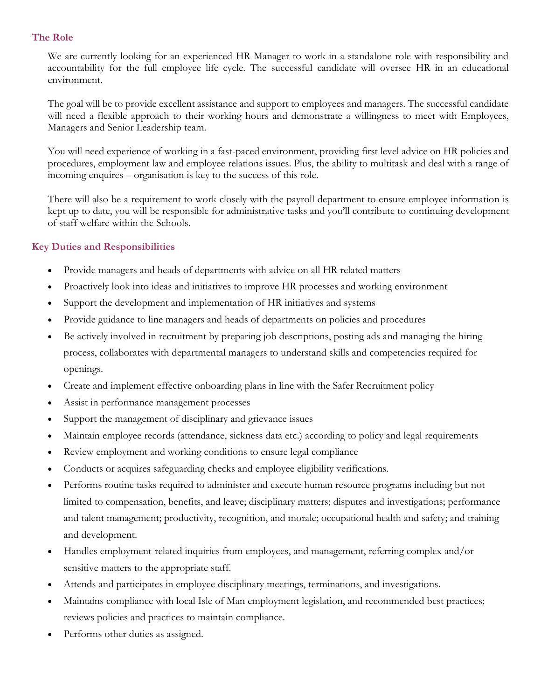### **The Role**

We are currently looking for an experienced HR Manager to work in a standalone role with responsibility and accountability for the full employee life cycle. The successful candidate will oversee HR in an educational environment.

The goal will be to provide excellent assistance and support to employees and managers. The successful candidate will need a flexible approach to their working hours and demonstrate a willingness to meet with Employees, Managers and Senior Leadership team.

You will need experience of working in a fast-paced environment, providing first level advice on HR policies and procedures, employment law and employee relations issues. Plus, the ability to multitask and deal with a range of incoming enquires – organisation is key to the success of this role.

There will also be a requirement to work closely with the payroll department to ensure employee information is kept up to date, you will be responsible for administrative tasks and you'll contribute to continuing development of staff welfare within the Schools.

# **Key Duties and Responsibilities**

- Provide managers and heads of departments with advice on all HR related matters
- Proactively look into ideas and initiatives to improve HR processes and working environment
- Support the development and implementation of HR initiatives and systems
- Provide guidance to line managers and heads of departments on policies and procedures
- Be actively involved in recruitment by preparing job descriptions, posting ads and managing the hiring process, collaborates with departmental managers to understand skills and competencies required for openings.
- Create and implement effective onboarding plans in line with the Safer Recruitment policy
- Assist in performance management processes
- Support the management of disciplinary and grievance issues
- Maintain employee records (attendance, sickness data etc.) according to policy and legal requirements
- Review employment and working conditions to ensure legal compliance
- Conducts or acquires safeguarding checks and employee eligibility verifications.
- Performs routine tasks required to administer and execute human resource programs including but not limited to compensation, benefits, and leave; disciplinary matters; disputes and investigations; performance and talent management; productivity, recognition, and morale; occupational health and safety; and training and development.
- Handles employment-related inquiries from employees, and management, referring complex and/or sensitive matters to the appropriate staff.
- Attends and participates in employee disciplinary meetings, terminations, and investigations.
- Maintains compliance with local Isle of Man employment legislation, and recommended best practices; reviews policies and practices to maintain compliance.
- Performs other duties as assigned.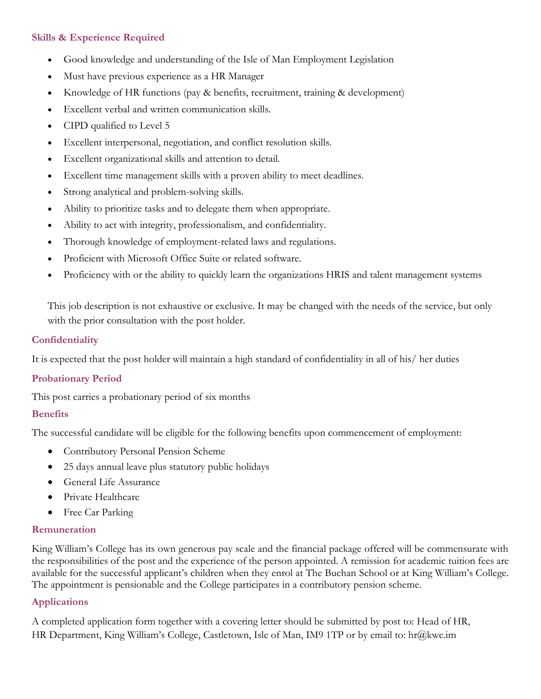# **Skills & Experience Required**

- Good knowledge and understanding of the Isle of Man Employment Legislation
- Must have previous experience as a HR Manager
- Knowledge of HR functions (pay & benefits, recruitment, training & development)
- Excellent verbal and written communication skills.
- CIPD qualified to Level 5
- Excellent interpersonal, negotiation, and conflict resolution skills.
- Excellent organizational skills and attention to detail.
- Excellent time management skills with a proven ability to meet deadlines.
- Strong analytical and problem-solving skills.
- Ability to prioritize tasks and to delegate them when appropriate.
- Ability to act with integrity, professionalism, and confidentiality.
- Thorough knowledge of employment-related laws and regulations.
- Proficient with Microsoft Office Suite or related software.
- Proficiency with or the ability to quickly learn the organizations HRIS and talent management systems

This job description is not exhaustive or exclusive. It may be changed with the needs of the service, but only with the prior consultation with the post holder.

### **Confidentiality**

It is expected that the post holder will maintain a high standard of confidentiality in all of his/ her duties

### **Probationary Period**

This post carries a probationary period of six months

#### **Benefits**

The successful candidate will be eligible for the following benefits upon commencement of employment:

- Contributory Personal Pension Scheme
- 25 days annual leave plus statutory public holidays
- General Life Assurance
- Private Healthcare
- Free Car Parking

### **Remuneration**

King William's College has its own generous pay scale and the financial package offered will be commensurate with the responsibilities of the post and the experience of the person appointed. A remission for academic tuition fees are available for the successful applicant's children when they enrol at The Buchan School or at King William's College. The appointment is pensionable and the College participates in a contributory pension scheme.

## **Applications**

A completed application form together with a covering letter should be submitted by post to: Head of HR, HR Department, King William's College, Castletown, Isle of Man, IM9 1TP or by email to: hr@kwc.im